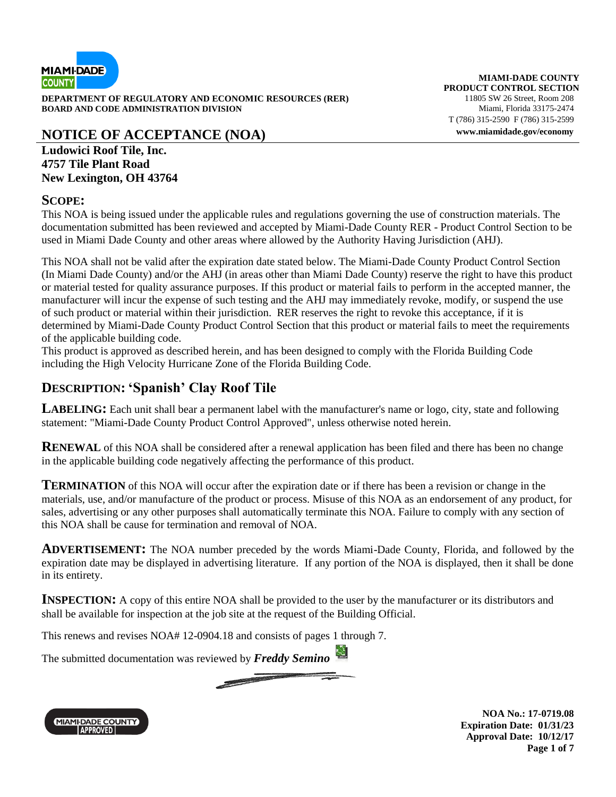

**DEPARTMENT OF REGULATORY AND ECONOMIC RESOURCES (RER) BOARD AND CODE ADMINISTRATION DIVISION** Miami, Florida 33175-2474

## **NOTICE OF ACCEPTANCE (NOA) www.miamidade.gov/economy**

#### **Ludowici Roof Tile, Inc. 4757 Tile Plant Road New Lexington, OH 43764**

#### **SCOPE:**

This NOA is being issued under the applicable rules and regulations governing the use of construction materials. The documentation submitted has been reviewed and accepted by Miami-Dade County RER - Product Control Section to be used in Miami Dade County and other areas where allowed by the Authority Having Jurisdiction (AHJ).

This NOA shall not be valid after the expiration date stated below. The Miami-Dade County Product Control Section (In Miami Dade County) and/or the AHJ (in areas other than Miami Dade County) reserve the right to have this product or material tested for quality assurance purposes. If this product or material fails to perform in the accepted manner, the manufacturer will incur the expense of such testing and the AHJ may immediately revoke, modify, or suspend the use of such product or material within their jurisdiction. RER reserves the right to revoke this acceptance, if it is determined by Miami-Dade County Product Control Section that this product or material fails to meet the requirements of the applicable building code.

This product is approved as described herein, and has been designed to comply with the Florida Building Code including the High Velocity Hurricane Zone of the Florida Building Code.

## **DESCRIPTION: 'Spanish' Clay Roof Tile**

**LABELING:** Each unit shall bear a permanent label with the manufacturer's name or logo, city, state and following statement: "Miami-Dade County Product Control Approved", unless otherwise noted herein.

**RENEWAL** of this NOA shall be considered after a renewal application has been filed and there has been no change in the applicable building code negatively affecting the performance of this product.

**TERMINATION** of this NOA will occur after the expiration date or if there has been a revision or change in the materials, use, and/or manufacture of the product or process. Misuse of this NOA as an endorsement of any product, for sales, advertising or any other purposes shall automatically terminate this NOA. Failure to comply with any section of this NOA shall be cause for termination and removal of NOA.

**ADVERTISEMENT:** The NOA number preceded by the words Miami-Dade County, Florida, and followed by the expiration date may be displayed in advertising literature. If any portion of the NOA is displayed, then it shall be done in its entirety.

**INSPECTION:** A copy of this entire NOA shall be provided to the user by the manufacturer or its distributors and shall be available for inspection at the job site at the request of the Building Official.

This renews and revises NOA# 12-0904.18 and consists of pages 1 through 7.

The submitted documentation was reviewed by *Freddy Semino*



**NOA No.: 17-0719.08 Expiration Date: 01/31/23 Approval Date: 10/12/17 Page 1 of 7**

**MIAMI-DADE COUNTY PRODUCT CONTROL SECTION**<br>11805 SW 26 Street, Room 208 T (786) 315-2590 F (786) 315-2599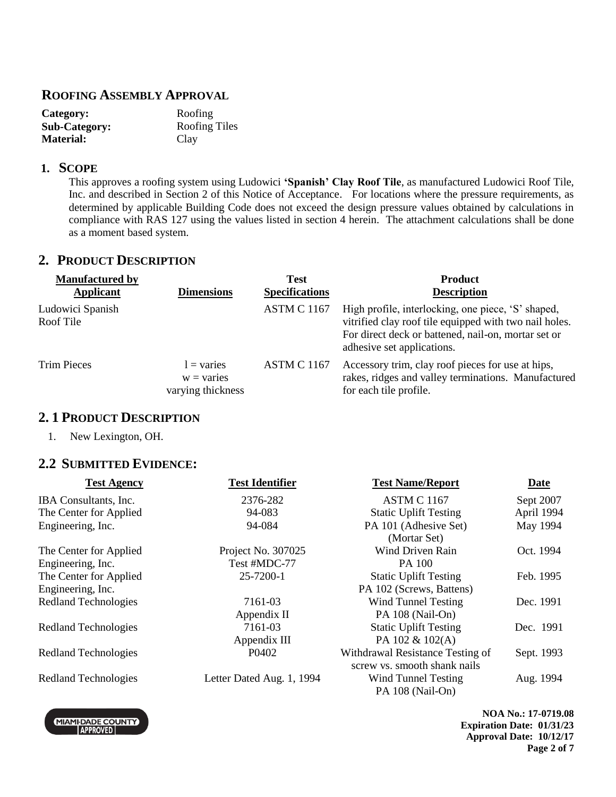#### **ROOFING ASSEMBLY APPROVAL**

| Category:            | Roofing       |
|----------------------|---------------|
| <b>Sub-Category:</b> | Roofing Tiles |
| <b>Material:</b>     | Clay          |

#### **1. SCOPE**

This approves a roofing system using Ludowici **'Spanish' Clay Roof Tile**, as manufactured Ludowici Roof Tile, Inc. and described in Section 2 of this Notice of Acceptance. For locations where the pressure requirements, as determined by applicable Building Code does not exceed the design pressure values obtained by calculations in compliance with RAS 127 using the values listed in section 4 herein. The attachment calculations shall be done as a moment based system.

#### **2. PRODUCT DESCRIPTION**

| <b>Manufactured by</b><br>Applicant | <b>Dimensions</b>                                               | <b>Test</b><br><b>Specifications</b> | <b>Product</b><br><b>Description</b>                                                                                                                                                              |
|-------------------------------------|-----------------------------------------------------------------|--------------------------------------|---------------------------------------------------------------------------------------------------------------------------------------------------------------------------------------------------|
| Ludowici Spanish<br>Roof Tile       |                                                                 | <b>ASTM C 1167</b>                   | High profile, interlocking, one piece, 'S' shaped,<br>vitrified clay roof tile equipped with two nail holes.<br>For direct deck or battened, nail-on, mortar set or<br>adhesive set applications. |
| <b>Trim Pieces</b>                  | $l = \text{varies}$<br>$w = \text{varies}$<br>varying thickness | <b>ASTM C 1167</b>                   | Accessory trim, clay roof pieces for use at hips,<br>rakes, ridges and valley terminations. Manufactured<br>for each tile profile.                                                                |

#### **2. 1 PRODUCT DESCRIPTION**

1. New Lexington, OH.

MIAMI-DADE COUNTY

#### **2.2 SUBMITTED EVIDENCE:**

| <b>Test Agency</b>     | <b>Test Identifier</b>    | <b>Test Name/Report</b>                                          | <b>Date</b> |
|------------------------|---------------------------|------------------------------------------------------------------|-------------|
| IBA Consultants, Inc.  | 2376-282                  | <b>ASTM C 1167</b>                                               | Sept 2007   |
| The Center for Applied | 94-083                    | <b>Static Uplift Testing</b>                                     | April 1994  |
| Engineering, Inc.      | 94-084                    | PA 101 (Adhesive Set)                                            | May 1994    |
|                        |                           | (Mortar Set)                                                     |             |
| The Center for Applied | Project No. 307025        | Wind Driven Rain                                                 | Oct. 1994   |
| Engineering, Inc.      | Test #MDC-77              | PA 100                                                           |             |
| The Center for Applied | 25-7200-1                 | <b>Static Uplift Testing</b>                                     | Feb. 1995   |
| Engineering, Inc.      |                           | PA 102 (Screws, Battens)                                         |             |
| Redland Technologies   | 7161-03                   | <b>Wind Tunnel Testing</b>                                       | Dec. 1991   |
|                        | Appendix II               | PA 108 (Nail-On)                                                 |             |
| Redland Technologies   | 7161-03                   | <b>Static Uplift Testing</b>                                     | Dec. 1991   |
|                        | Appendix III              | PA 102 & 102(A)                                                  |             |
| Redland Technologies   | P0402                     | Withdrawal Resistance Testing of<br>screw vs. smooth shank nails | Sept. 1993  |
| Redland Technologies   | Letter Dated Aug. 1, 1994 | Wind Tunnel Testing<br>PA 108 (Nail-On)                          | Aug. 1994   |

**NOA No.: 17-0719.08 Expiration Date: 01/31/23 Approval Date: 10/12/17 Page 2 of 7**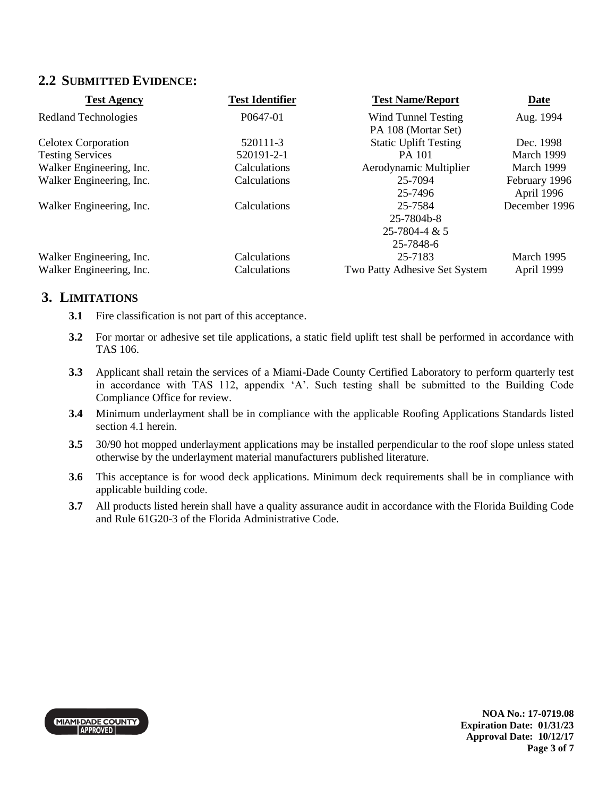#### **2.2 SUBMITTED EVIDENCE:**

| <b>Test Agency</b>         | <b>Test Identifier</b> | <b>Test Name/Report</b>       | <b>Date</b>   |
|----------------------------|------------------------|-------------------------------|---------------|
| Redland Technologies       | P0647-01               | Wind Tunnel Testing           | Aug. 1994     |
|                            |                        | PA 108 (Mortar Set)           |               |
| <b>Celotex Corporation</b> | 520111-3               | <b>Static Uplift Testing</b>  | Dec. 1998     |
| <b>Testing Services</b>    | 520191-2-1             | PA 101                        | March 1999    |
| Walker Engineering, Inc.   | Calculations           | Aerodynamic Multiplier        | March 1999    |
| Walker Engineering, Inc.   | Calculations           | 25-7094                       | February 1996 |
|                            |                        | 25-7496                       | April 1996    |
| Walker Engineering, Inc.   | Calculations           | 25-7584                       | December 1996 |
|                            |                        | 25-7804b-8                    |               |
|                            |                        | 25-7804-4 & 5                 |               |
|                            |                        | 25-7848-6                     |               |
| Walker Engineering, Inc.   | Calculations           | 25-7183                       | March 1995    |
| Walker Engineering, Inc.   | Calculations           | Two Patty Adhesive Set System | April 1999    |

#### **3. LIMITATIONS**

- **3.1** Fire classification is not part of this acceptance.
- **3.2** For mortar or adhesive set tile applications, a static field uplift test shall be performed in accordance with TAS 106.
- **3.3** Applicant shall retain the services of a Miami-Dade County Certified Laboratory to perform quarterly test in accordance with TAS 112, appendix 'A'. Such testing shall be submitted to the Building Code Compliance Office for review.
- **3.4** Minimum underlayment shall be in compliance with the applicable Roofing Applications Standards listed section 4.1 herein.
- **3.5** 30/90 hot mopped underlayment applications may be installed perpendicular to the roof slope unless stated otherwise by the underlayment material manufacturers published literature.
- **3.6** This acceptance is for wood deck applications. Minimum deck requirements shall be in compliance with applicable building code.
- **3.7** All products listed herein shall have a quality assurance audit in accordance with the Florida Building Code and Rule 61G20-3 of the Florida Administrative Code.



**NOA No.: 17-0719.08 Expiration Date: 01/31/23 Approval Date: 10/12/17 Page 3 of 7**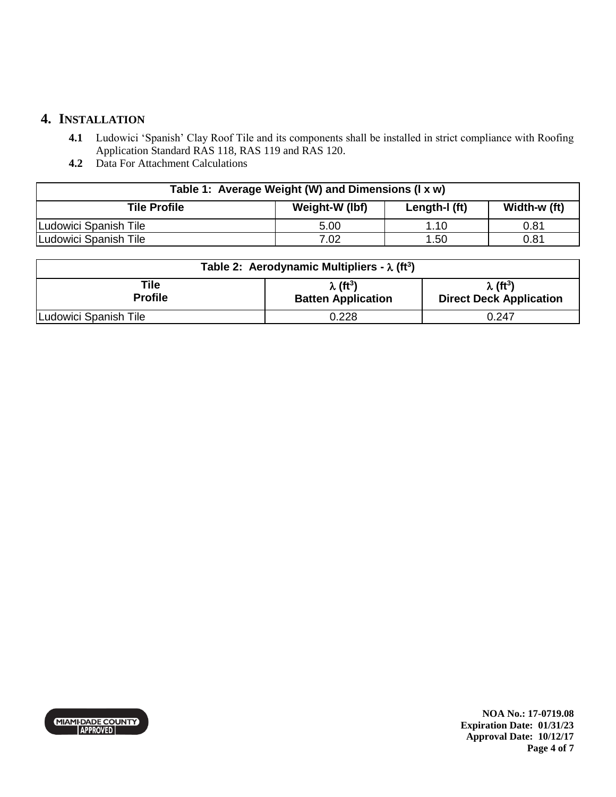### **4. INSTALLATION**

- **4.1** Ludowici 'Spanish' Clay Roof Tile and its components shall be installed in strict compliance with Roofing Application Standard RAS 118, RAS 119 and RAS 120.
- **4.2** Data For Attachment Calculations

| Table 1: Average Weight (W) and Dimensions (I x w)                     |      |      |      |  |  |
|------------------------------------------------------------------------|------|------|------|--|--|
| Weight-W (lbf)<br>Width-w (ft)<br>Length-I (ft)<br><b>Tile Profile</b> |      |      |      |  |  |
| Ludowici Spanish Tile                                                  | 5.00 | 1.10 | 0.81 |  |  |
| Ludowici Spanish Tile                                                  | 7.02 | 1.50 | 0.81 |  |  |

| Table 2: Aerodynamic Multipliers - $\lambda$ (ft <sup>3</sup> )                                                                                       |  |  |  |  |
|-------------------------------------------------------------------------------------------------------------------------------------------------------|--|--|--|--|
| Tile<br>$\lambda$ (ft <sup>3</sup> )<br>$\lambda$ (ft <sup>3</sup> )<br><b>Profile</b><br><b>Batten Application</b><br><b>Direct Deck Application</b> |  |  |  |  |
| Ludowici Spanish Tile<br>0.228<br>0.247                                                                                                               |  |  |  |  |

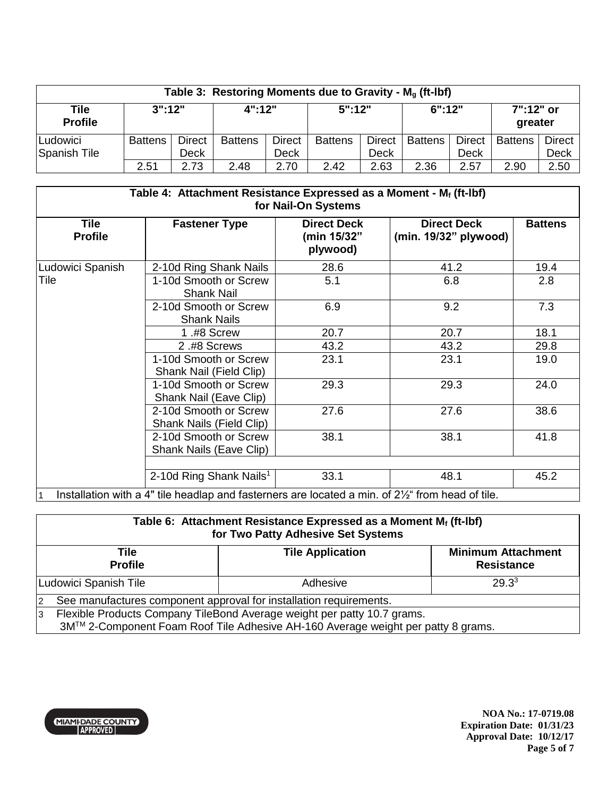| Table 3: Restoring Moments due to Gravity - $M_a$ (ft-lbf) |                |                       |                |                       |                |                              |                |                              |                      |                              |
|------------------------------------------------------------|----------------|-----------------------|----------------|-----------------------|----------------|------------------------------|----------------|------------------------------|----------------------|------------------------------|
| Tile<br><b>Profile</b>                                     | $3"$ :12"      |                       | $4"$ :12"      |                       | $5"$ :12"      |                              | $6"$ :12"      |                              | 7":12" or<br>greater |                              |
| Ludowici<br>Spanish Tile                                   | <b>Battens</b> | <b>Direct</b><br>Deck | <b>Battens</b> | <b>Direct</b><br>Deck | <b>Battens</b> | <b>Direct</b><br><b>Deck</b> | <b>Battens</b> | <b>Direct</b><br><b>Deck</b> | <b>Battens</b>       | <b>Direct</b><br><b>Deck</b> |
|                                                            | 2.51           | 2.73                  | 2.48           | 2.70                  | 2.42           | 2.63                         | 2.36           | 2.57                         | 2.90                 | 2.50                         |

| Table 4: Attachment Resistance Expressed as a Moment - Mf (ft-Ibf)<br>for Nail-On Systems |                                                                                                              |                                               |                                             |                |
|-------------------------------------------------------------------------------------------|--------------------------------------------------------------------------------------------------------------|-----------------------------------------------|---------------------------------------------|----------------|
| <b>Tile</b><br><b>Profile</b>                                                             | <b>Fastener Type</b>                                                                                         | <b>Direct Deck</b><br>(min 15/32"<br>plywood) | <b>Direct Deck</b><br>(min. 19/32" plywood) | <b>Battens</b> |
| Ludowici Spanish                                                                          | 2-10d Ring Shank Nails                                                                                       | 28.6                                          | 41.2                                        | 19.4           |
| Tile                                                                                      | 1-10d Smooth or Screw<br><b>Shank Nail</b>                                                                   | 5.1                                           | 6.8                                         | 2.8            |
|                                                                                           | 2-10d Smooth or Screw<br><b>Shank Nails</b>                                                                  | 6.9                                           | 9.2                                         | 7.3            |
|                                                                                           | 1.#8 Screw                                                                                                   | 20.7                                          | 20.7                                        | 18.1           |
|                                                                                           | 2.#8 Screws                                                                                                  | 43.2                                          | 43.2                                        | 29.8           |
|                                                                                           | 1-10d Smooth or Screw<br>Shank Nail (Field Clip)                                                             | 23.1                                          | 23.1                                        | 19.0           |
|                                                                                           | 1-10d Smooth or Screw<br>Shank Nail (Eave Clip)                                                              | 29.3                                          | 29.3                                        | 24.0           |
|                                                                                           | 2-10d Smooth or Screw<br>Shank Nails (Field Clip)                                                            | 27.6                                          | 27.6                                        | 38.6           |
|                                                                                           | 2-10d Smooth or Screw<br>Shank Nails (Eave Clip)                                                             | 38.1                                          | 38.1                                        | 41.8           |
|                                                                                           |                                                                                                              |                                               |                                             |                |
|                                                                                           | 2-10d Ring Shank Nails <sup>1</sup>                                                                          | 33.1                                          | 48.1                                        | 45.2           |
| $\mathbf{1}$                                                                              | Installation with a 4" tile headlap and fasterners are located a min. of 2 <sup>1/2</sup> from head of tile. |                                               |                                             |                |

| Table 6: Attachment Resistance Expressed as a Moment $M_f$ (ft-lbf)<br>for Two Patty Adhesive Set Systems                                                        |                         |                                                |  |  |
|------------------------------------------------------------------------------------------------------------------------------------------------------------------|-------------------------|------------------------------------------------|--|--|
| Tile<br><b>Profile</b>                                                                                                                                           | <b>Tile Application</b> | <b>Minimum Attachment</b><br><b>Resistance</b> |  |  |
| Ludowici Spanish Tile<br>$29.3^3$<br>Adhesive                                                                                                                    |                         |                                                |  |  |
| See manufactures component approval for installation requirements.<br> 2                                                                                         |                         |                                                |  |  |
| Flexible Products Company TileBond Average weight per patty 10.7 grams.<br>3<br>3M™ 2-Component Foam Roof Tile Adhesive AH-160 Average weight per patty 8 grams. |                         |                                                |  |  |



**NOA No.: 17-0719.08 Expiration Date: 01/31/23 Approval Date: 10/12/17 Page 5 of 7**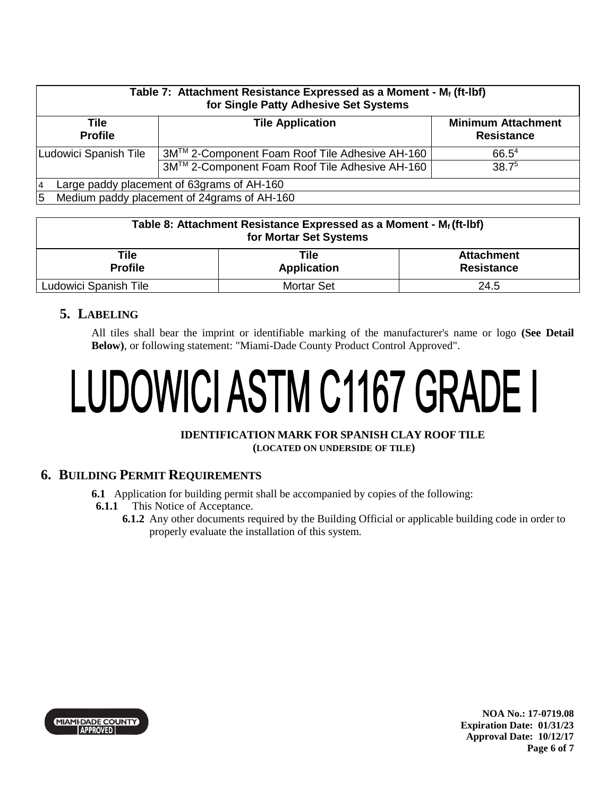| Table 7: Attachment Resistance Expressed as a Moment - Mf (ft-Ibf)<br>for Single Patty Adhesive Set Systems |                                                |                                                |  |  |
|-------------------------------------------------------------------------------------------------------------|------------------------------------------------|------------------------------------------------|--|--|
| Tile<br><b>Profile</b>                                                                                      | <b>Tile Application</b>                        | <b>Minimum Attachment</b><br><b>Resistance</b> |  |  |
| Ludowici Spanish Tile                                                                                       | 3M™ 2-Component Foam Roof Tile Adhesive AH-160 | $66.5^{4}$                                     |  |  |
| 3M™ 2-Component Foam Roof Tile Adhesive AH-160<br>38.7 <sup>5</sup>                                         |                                                |                                                |  |  |
| Large paddy placement of 63grams of AH-160<br>4                                                             |                                                |                                                |  |  |
| 5                                                                                                           | Medium paddy placement of 24grams of AH-160    |                                                |  |  |

| Table 8: Attachment Resistance Expressed as a Moment - $M_f$ (ft-lbf)<br>for Mortar Set Systems |                                   |                                        |  |  |  |
|-------------------------------------------------------------------------------------------------|-----------------------------------|----------------------------------------|--|--|--|
| <b>Tile</b><br><b>Profile</b>                                                                   | <b>Tile</b><br><b>Application</b> | <b>Attachment</b><br><b>Resistance</b> |  |  |  |
| Ludowici Spanish Tile                                                                           | Mortar Set<br>24.5                |                                        |  |  |  |

## **5. LABELING**

All tiles shall bear the imprint or identifiable marking of the manufacturer's name or logo **(See Detail Below)**, or following statement: "Miami-Dade County Product Control Approved".

# LUDOWICI ASTM C1167 GRADE I

#### **IDENTIFICATION MARK FOR SPANISH CLAY ROOF TILE (LOCATED ON UNDERSIDE OF TILE)**

#### **6. BUILDING PERMIT REQUIREMENTS**

- **6.1** Application for building permit shall be accompanied by copies of the following:
- **6.1.1** This Notice of Acceptance.
	- **6.1.2** Any other documents required by the Building Official or applicable building code in order to properly evaluate the installation of this system.



**NOA No.: 17-0719.08 Expiration Date: 01/31/23 Approval Date: 10/12/17 Page 6 of 7**